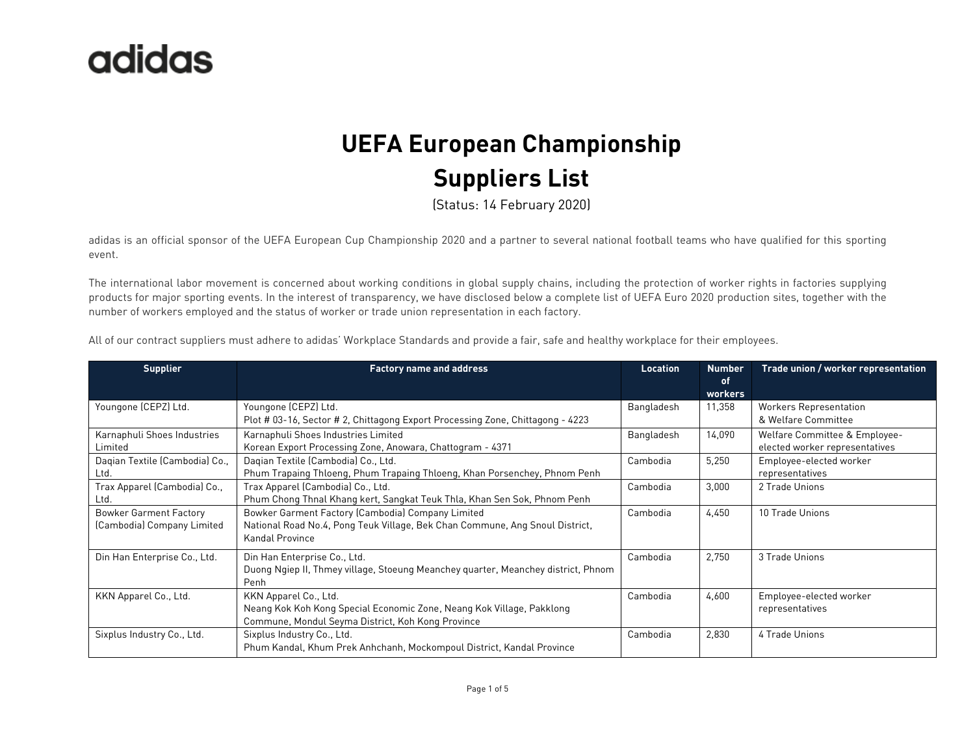#### **UEFA European Championship Suppliers List**

(Status: 14 February 2020)

adidas is an official sponsor of the UEFA European Cup Championship 2020 and a partner to several national football teams who have qualified for this sporting event.

The international labor movement is concerned about working conditions in global supply chains, including the protection of worker rights in factories supplying products for major sporting events. In the interest of transparency, we have disclosed below a complete list of UEFA Euro 2020 production sites, together with the number of workers employed and the status of worker or trade union representation in each factory.

| <b>Supplier</b>                | <b>Factory name and address</b>                                                   | Location   | <b>Number</b><br>of | Trade union / worker representation |
|--------------------------------|-----------------------------------------------------------------------------------|------------|---------------------|-------------------------------------|
|                                |                                                                                   |            | workers             |                                     |
| Youngone (CEPZ) Ltd.           | Youngone (CEPZ) Ltd.                                                              | Bangladesh | 11,358              | <b>Workers Representation</b>       |
|                                | Plot # 03-16, Sector # 2, Chittagong Export Processing Zone, Chittagong - 4223    |            |                     | & Welfare Committee                 |
| Karnaphuli Shoes Industries    | Karnaphuli Shoes Industries Limited                                               | Bangladesh | 14,090              | Welfare Committee & Employee-       |
| Limited                        | Korean Export Processing Zone, Anowara, Chattogram - 4371                         |            |                     | elected worker representatives      |
| Dagian Textile (Cambodia) Co., | Dagian Textile (Cambodia) Co., Ltd.                                               | Cambodia   | 5,250               | Employee-elected worker             |
| Ltd.                           | Phum Trapaing Thloeng, Phum Trapaing Thloeng, Khan Porsenchey, Phnom Penh         |            |                     | representatives                     |
| Trax Apparel (Cambodia) Co.,   | Trax Apparel (Cambodia) Co., Ltd.                                                 | Cambodia   | 3,000               | 2 Trade Unions                      |
| Ltd.                           | Phum Chong Thnal Khang kert, Sangkat Teuk Thla, Khan Sen Sok, Phnom Penh          |            |                     |                                     |
| <b>Bowker Garment Factory</b>  | Bowker Garment Factory (Cambodia) Company Limited                                 | Cambodia   | 4,450               | 10 Trade Unions                     |
| (Cambodia) Company Limited     | National Road No.4, Pong Teuk Village, Bek Chan Commune, Ang Snoul District,      |            |                     |                                     |
|                                | Kandal Province                                                                   |            |                     |                                     |
| Din Han Enterprise Co., Ltd.   | Din Han Enterprise Co., Ltd.                                                      | Cambodia   | 2,750               | 3 Trade Unions                      |
|                                | Duong Ngiep II, Thmey village, Stoeung Meanchey quarter, Meanchey district, Phnom |            |                     |                                     |
|                                | Penh                                                                              |            |                     |                                     |
| KKN Apparel Co., Ltd.          | KKN Apparel Co., Ltd.                                                             | Cambodia   | 4,600               | Employee-elected worker             |
|                                | Neang Kok Koh Kong Special Economic Zone, Neang Kok Village, Pakklong             |            |                     | representatives                     |
|                                | Commune, Mondul Seyma District, Koh Kong Province                                 |            |                     |                                     |
| Sixplus Industry Co., Ltd.     | Sixplus Industry Co., Ltd.                                                        | Cambodia   | 2,830               | 4 Trade Unions                      |
|                                | Phum Kandal, Khum Prek Anhchanh, Mockompoul District, Kandal Province             |            |                     |                                     |

All of our contract suppliers must adhere to adidas' Workplace Standards and provide a fair, safe and healthy workplace for their employees.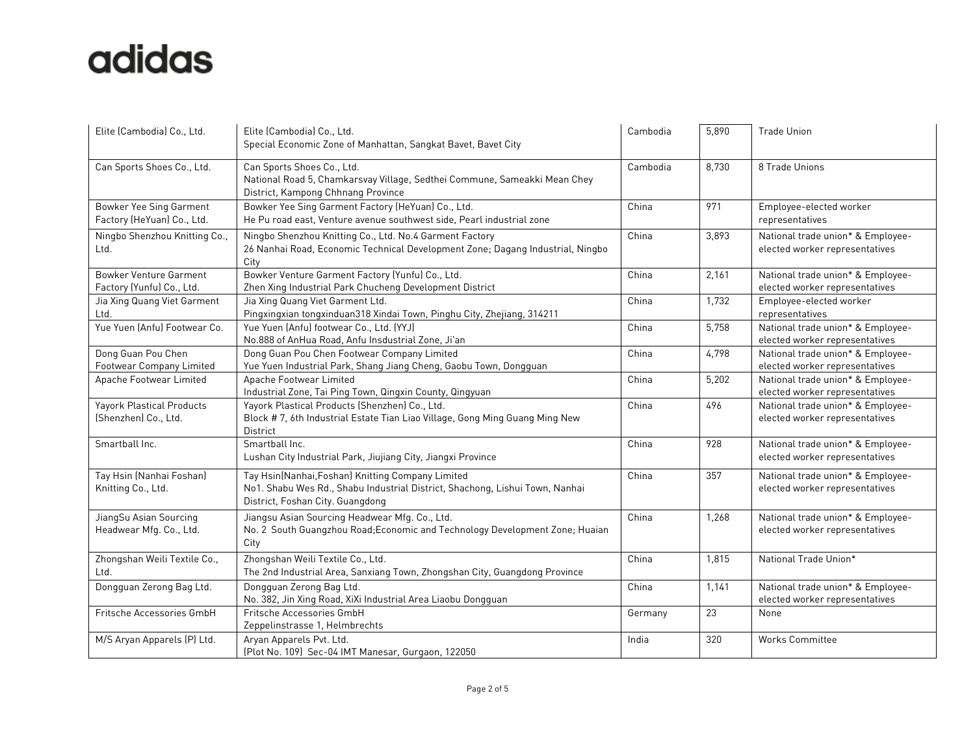| Elite (Cambodia) Co., Ltd.                                 | Elite (Cambodia) Co., Ltd.<br>Special Economic Zone of Manhattan, Sangkat Bavet, Bavet City                                                                           | Cambodia | 5,890 | <b>Trade Union</b>                                                  |
|------------------------------------------------------------|-----------------------------------------------------------------------------------------------------------------------------------------------------------------------|----------|-------|---------------------------------------------------------------------|
| Can Sports Shoes Co., Ltd.                                 | Can Sports Shoes Co., Ltd.<br>National Road 5, Chamkarsvay Village, Sedthei Commune, Sameakki Mean Chey<br>District, Kampong Chhnang Province                         | Cambodia | 8,730 | 8 Trade Unions                                                      |
| Bowker Yee Sing Garment<br>Factory (HeYuan) Co., Ltd.      | Bowker Yee Sing Garment Factory (HeYuan) Co., Ltd.<br>He Pu road east, Venture avenue southwest side, Pearl industrial zone                                           | China    | 971   | Employee-elected worker<br>representatives                          |
| Ningbo Shenzhou Knitting Co.,<br>Ltd.                      | Ningbo Shenzhou Knitting Co., Ltd. No.4 Garment Factory<br>26 Nanhai Road, Economic Technical Development Zone; Dagang Industrial, Ningbo<br>City                     | China    | 3,893 | National trade union* & Employee-<br>elected worker representatives |
| <b>Bowker Venture Garment</b><br>Factory (Yunfu) Co., Ltd. | Bowker Venture Garment Factory (Yunfu) Co., Ltd.<br>Zhen Xing Industrial Park Chucheng Development District                                                           | China    | 2,161 | National trade union* & Employee-<br>elected worker representatives |
| Jia Xing Quang Viet Garment<br>Ltd.                        | Jia Xing Quang Viet Garment Ltd.<br>Pingxingxian tongxinduan318 Xindai Town, Pinghu City, Zhejiang, 314211                                                            | China    | 1,732 | Employee-elected worker<br>representatives                          |
| Yue Yuen (Anfu) Footwear Co.                               | Yue Yuen (Anfu) footwear Co., Ltd. (YYJ)<br>No.888 of AnHua Road, Anfu Insdustrial Zone, Ji'an                                                                        | China    | 5,758 | National trade union* & Employee-<br>elected worker representatives |
| Dong Guan Pou Chen<br>Footwear Company Limited             | Dong Guan Pou Chen Footwear Company Limited<br>Yue Yuen Industrial Park, Shang Jiang Cheng, Gaobu Town, Dongguan                                                      | China    | 4,798 | National trade union* & Employee-<br>elected worker representatives |
| Apache Footwear Limited                                    | Apache Footwear Limited<br>Industrial Zone, Tai Ping Town, Qingxin County, Qingyuan                                                                                   | China    | 5,202 | National trade union* & Employee-<br>elected worker representatives |
| <b>Yayork Plastical Products</b><br>(Shenzhen) Co., Ltd.   | Yayork Plastical Products (Shenzhen) Co., Ltd.<br>Block #7, 6th Industrial Estate Tian Liao Village, Gong Ming Guang Ming New<br>District                             | China    | 496   | National trade union* & Employee-<br>elected worker representatives |
| Smartball Inc.                                             | Smartball Inc.<br>Lushan City Industrial Park, Jiujiang City, Jiangxi Province                                                                                        | China    | 928   | National trade union* & Employee-<br>elected worker representatives |
| Tay Hsin (Nanhai Foshan)<br>Knitting Co., Ltd.             | Tay Hsin(Nanhai, Foshan) Knitting Company Limited<br>No1. Shabu Wes Rd., Shabu Industrial District, Shachong, Lishui Town, Nanhai<br>District, Foshan City. Guangdong | China    | 357   | National trade union* & Employee-<br>elected worker representatives |
| JiangSu Asian Sourcing<br>Headwear Mfg. Co., Ltd.          | Jiangsu Asian Sourcing Headwear Mfg. Co., Ltd.<br>No. 2 South Guangzhou Road; Economic and Technology Development Zone; Huaian<br>City                                | China    | 1,268 | National trade union* & Employee-<br>elected worker representatives |
| Zhongshan Weili Textile Co.,<br>Ltd.                       | Zhongshan Weili Textile Co., Ltd.<br>The 2nd Industrial Area, Sanxiang Town, Zhongshan City, Guangdong Province                                                       | China    | 1,815 | National Trade Union*                                               |
| Dongguan Zerong Bag Ltd.                                   | Dongguan Zerong Bag Ltd.<br>No. 382, Jin Xing Road, XiXi Industrial Area Liaobu Dongguan                                                                              | China    | 1,141 | National trade union* & Employee-<br>elected worker representatives |
| Fritsche Accessories GmbH                                  | Fritsche Accessories GmbH<br>Zeppelinstrasse 1, Helmbrechts                                                                                                           | Germany  | 23    | None                                                                |
| M/S Aryan Apparels (P) Ltd.                                | Aryan Apparels Pvt. Ltd.<br>(Plot No. 109) Sec-04 IMT Manesar, Gurgaon, 122050                                                                                        | India    | 320   | <b>Works Committee</b>                                              |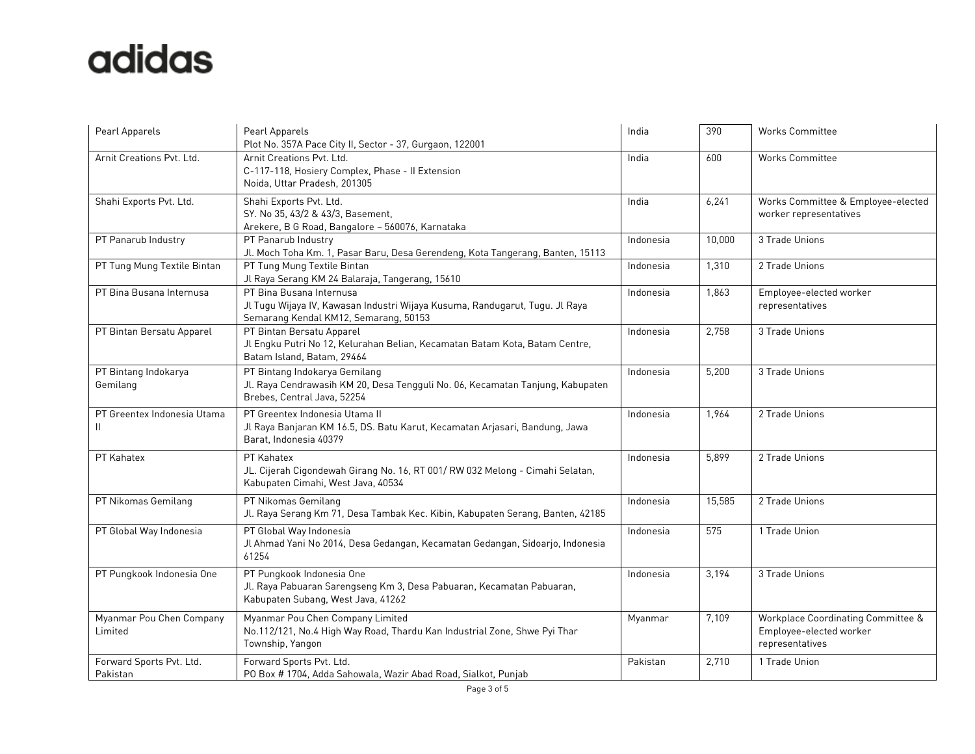| Pearl Apparels                       | Pearl Apparels<br>Plot No. 357A Pace City II, Sector - 37, Gurgaon, 122001                                                                        | India     | 390    | <b>Works Committee</b>                                                           |
|--------------------------------------|---------------------------------------------------------------------------------------------------------------------------------------------------|-----------|--------|----------------------------------------------------------------------------------|
| Arnit Creations Pvt. Ltd.            | Arnit Creations Pvt. Ltd.<br>C-117-118, Hosiery Complex, Phase - Il Extension<br>Noida, Uttar Pradesh, 201305                                     | India     | 600    | <b>Works Committee</b>                                                           |
| Shahi Exports Pvt. Ltd.              | Shahi Exports Pvt. Ltd.<br>SY. No 35, 43/2 & 43/3, Basement,<br>Arekere, B G Road, Bangalore - 560076, Karnataka                                  | India     | 6,241  | Works Committee & Employee-elected<br>worker representatives                     |
| PT Panarub Industry                  | PT Panarub Industry<br>Jl. Moch Toha Km. 1, Pasar Baru, Desa Gerendeng, Kota Tangerang, Banten, 15113                                             | Indonesia | 10,000 | 3 Trade Unions                                                                   |
| PT Tung Mung Textile Bintan          | PT Tung Mung Textile Bintan<br>Jl Raya Serang KM 24 Balaraja, Tangerang, 15610                                                                    | Indonesia | 1,310  | 2 Trade Unions                                                                   |
| PT Bina Busana Internusa             | PT Bina Busana Internusa<br>Jl Tugu Wijaya IV, Kawasan Industri Wijaya Kusuma, Randugarut, Tugu. Jl Raya<br>Semarang Kendal KM12, Semarang, 50153 | Indonesia | 1,863  | Employee-elected worker<br>representatives                                       |
| PT Bintan Bersatu Apparel            | PT Bintan Bersatu Apparel<br>Jl Engku Putri No 12, Kelurahan Belian, Kecamatan Batam Kota, Batam Centre,<br>Batam Island, Batam, 29464            | Indonesia | 2,758  | 3 Trade Unions                                                                   |
| PT Bintang Indokarya<br>Gemilang     | PT Bintang Indokarya Gemilang<br>Jl. Raya Cendrawasih KM 20, Desa Tengguli No. 06, Kecamatan Tanjung, Kabupaten<br>Brebes, Central Java, 52254    | Indonesia | 5,200  | 3 Trade Unions                                                                   |
| PT Greentex Indonesia Utama<br>Ш     | PT Greentex Indonesia Utama II<br>Jl Raya Banjaran KM 16.5, DS. Batu Karut, Kecamatan Arjasari, Bandung, Jawa<br>Barat, Indonesia 40379           | Indonesia | 1,964  | 2 Trade Unions                                                                   |
| PT Kahatex                           | PT Kahatex<br>JL. Cijerah Cigondewah Girang No. 16, RT 001/RW 032 Melong - Cimahi Selatan,<br>Kabupaten Cimahi, West Java, 40534                  | Indonesia | 5,899  | 2 Trade Unions                                                                   |
| PT Nikomas Gemilang                  | PT Nikomas Gemilang<br>Jl. Raya Serang Km 71, Desa Tambak Kec. Kibin, Kabupaten Serang, Banten, 42185                                             | Indonesia | 15,585 | 2 Trade Unions                                                                   |
| PT Global Way Indonesia              | PT Global Way Indonesia<br>Jl Ahmad Yani No 2014, Desa Gedangan, Kecamatan Gedangan, Sidoarjo, Indonesia<br>61254                                 | Indonesia | 575    | 1 Trade Union                                                                    |
| PT Pungkook Indonesia One            | PT Pungkook Indonesia One<br>Jl. Raya Pabuaran Sarengseng Km 3, Desa Pabuaran, Kecamatan Pabuaran,<br>Kabupaten Subang, West Java, 41262          | Indonesia | 3,194  | 3 Trade Unions                                                                   |
| Myanmar Pou Chen Company<br>Limited  | Myanmar Pou Chen Company Limited<br>No.112/121, No.4 High Way Road, Thardu Kan Industrial Zone, Shwe Pyi Thar<br>Township, Yangon                 | Myanmar   | 7,109  | Workplace Coordinating Committee &<br>Employee-elected worker<br>representatives |
| Forward Sports Pvt. Ltd.<br>Pakistan | Forward Sports Pvt. Ltd.<br>PO Box # 1704, Adda Sahowala, Wazir Abad Road, Sialkot, Punjab                                                        | Pakistan  | 2,710  | 1 Trade Union                                                                    |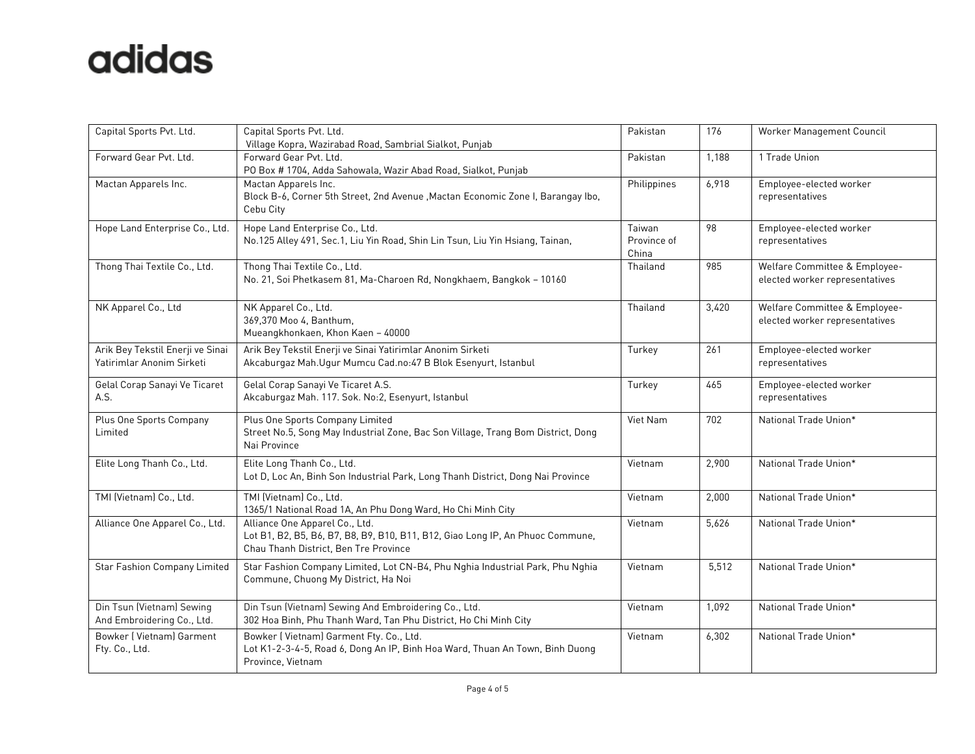| Capital Sports Pvt. Ltd.                                      | Capital Sports Pvt. Ltd.<br>Village Kopra, Wazirabad Road, Sambrial Sialkot, Punjab                                                                       | Pakistan                       | 176   | Worker Management Council                                       |
|---------------------------------------------------------------|-----------------------------------------------------------------------------------------------------------------------------------------------------------|--------------------------------|-------|-----------------------------------------------------------------|
| Forward Gear Pvt. Ltd.                                        | Forward Gear Pvt. Ltd.<br>PO Box # 1704, Adda Sahowala, Wazir Abad Road, Sialkot, Punjab                                                                  | Pakistan                       | 1,188 | 1 Trade Union                                                   |
| Mactan Apparels Inc.                                          | Mactan Apparels Inc.<br>Block B-6, Corner 5th Street, 2nd Avenue , Mactan Economic Zone I, Barangay Ibo,<br>Cebu City                                     | Philippines                    | 6,918 | Employee-elected worker<br>representatives                      |
| Hope Land Enterprise Co., Ltd.                                | Hope Land Enterprise Co., Ltd.<br>No.125 Alley 491, Sec.1, Liu Yin Road, Shin Lin Tsun, Liu Yin Hsiang, Tainan,                                           | Taiwan<br>Province of<br>China | 98    | Employee-elected worker<br>representatives                      |
| Thong Thai Textile Co., Ltd.                                  | Thong Thai Textile Co., Ltd.<br>No. 21, Soi Phetkasem 81, Ma-Charoen Rd, Nongkhaem, Bangkok - 10160                                                       | Thailand                       | 985   | Welfare Committee & Employee-<br>elected worker representatives |
| NK Apparel Co., Ltd                                           | NK Apparel Co., Ltd.<br>369,370 Moo 4, Banthum,<br>Mueangkhonkaen, Khon Kaen - 40000                                                                      | Thailand                       | 3,420 | Welfare Committee & Employee-<br>elected worker representatives |
| Arik Bey Tekstil Enerji ve Sinai<br>Yatirimlar Anonim Sirketi | Arik Bey Tekstil Enerji ve Sinai Yatirimlar Anonim Sirketi<br>Akcaburgaz Mah. Ugur Mumcu Cad.no: 47 B Blok Esenyurt, Istanbul                             | Turkey                         | 261   | Employee-elected worker<br>representatives                      |
| Gelal Corap Sanayi Ve Ticaret<br>A.S.                         | Gelal Corap Sanayi Ve Ticaret A.S.<br>Akcaburgaz Mah. 117. Sok. No:2, Esenyurt, Istanbul                                                                  | Turkey                         | 465   | Employee-elected worker<br>representatives                      |
| Plus One Sports Company<br>Limited                            | Plus One Sports Company Limited<br>Street No.5, Song May Industrial Zone, Bac Son Village, Trang Bom District, Dong<br>Nai Province                       | Viet Nam                       | 702   | National Trade Union*                                           |
| Elite Long Thanh Co., Ltd.                                    | Elite Long Thanh Co., Ltd.<br>Lot D, Loc An, Binh Son Industrial Park, Long Thanh District, Dong Nai Province                                             | Vietnam                        | 2,900 | National Trade Union*                                           |
| TMI (Vietnam) Co., Ltd.                                       | TMI (Vietnam) Co., Ltd.<br>1365/1 National Road 1A, An Phu Dong Ward, Ho Chi Minh City                                                                    | Vietnam                        | 2,000 | National Trade Union*                                           |
| Alliance One Apparel Co., Ltd.                                | Alliance One Apparel Co., Ltd.<br>Lot B1, B2, B5, B6, B7, B8, B9, B10, B11, B12, Giao Long IP, An Phuoc Commune,<br>Chau Thanh District, Ben Tre Province | Vietnam                        | 5,626 | National Trade Union*                                           |
| <b>Star Fashion Company Limited</b>                           | Star Fashion Company Limited, Lot CN-B4, Phu Nghia Industrial Park, Phu Nghia<br>Commune, Chuong My District, Ha Noi                                      | Vietnam                        | 5,512 | National Trade Union*                                           |
| Din Tsun (Vietnam) Sewing<br>And Embroidering Co., Ltd.       | Din Tsun (Vietnam) Sewing And Embroidering Co., Ltd.<br>302 Hoa Binh, Phu Thanh Ward, Tan Phu District, Ho Chi Minh City                                  | Vietnam                        | 1,092 | National Trade Union*                                           |
| Bowker   Vietnam] Garment<br>Fty. Co., Ltd.                   | Bowker (Vietnam) Garment Fty. Co., Ltd.<br>Lot K1-2-3-4-5, Road 6, Dong An IP, Binh Hoa Ward, Thuan An Town, Binh Duong<br>Province, Vietnam              | Vietnam                        | 6,302 | National Trade Union*                                           |